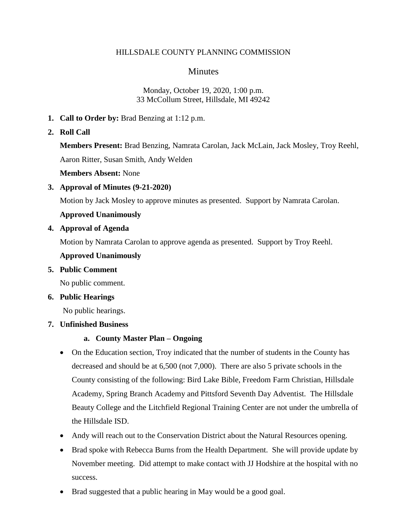#### HILLSDALE COUNTY PLANNING COMMISSION

# **Minutes**

#### Monday, October 19, 2020, 1:00 p.m. 33 McCollum Street, Hillsdale, MI 49242

- **1. Call to Order by:** Brad Benzing at 1:12 p.m.
- **2. Roll Call**

**Members Present:** Brad Benzing, Namrata Carolan, Jack McLain, Jack Mosley, Troy Reehl, Aaron Ritter, Susan Smith, Andy Welden

**Members Absent:** None

**3. Approval of Minutes (9-21-2020)**

Motion by Jack Mosley to approve minutes as presented. Support by Namrata Carolan.

**Approved Unanimously**

**4. Approval of Agenda**

Motion by Namrata Carolan to approve agenda as presented. Support by Troy Reehl.

#### **Approved Unanimously**

**5. Public Comment**

No public comment.

#### **6. Public Hearings**

No public hearings.

### **7. Unfinished Business**

### **a. County Master Plan – Ongoing**

- On the Education section, Troy indicated that the number of students in the County has decreased and should be at 6,500 (not 7,000). There are also 5 private schools in the County consisting of the following: Bird Lake Bible, Freedom Farm Christian, Hillsdale Academy, Spring Branch Academy and Pittsford Seventh Day Adventist. The Hillsdale Beauty College and the Litchfield Regional Training Center are not under the umbrella of the Hillsdale ISD.
- Andy will reach out to the Conservation District about the Natural Resources opening.
- Brad spoke with Rebecca Burns from the Health Department. She will provide update by November meeting. Did attempt to make contact with JJ Hodshire at the hospital with no success.
- Brad suggested that a public hearing in May would be a good goal.